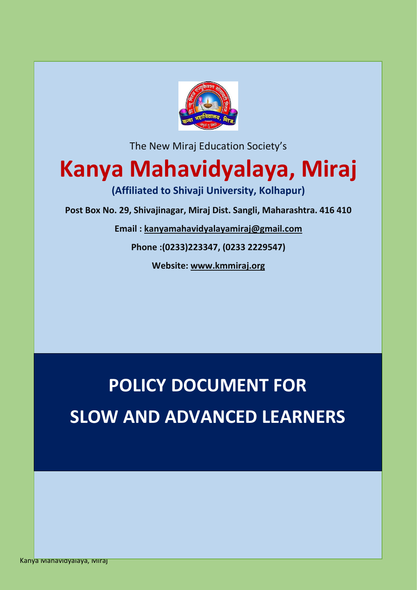

The New Miraj Education Society's

## **Kanya Mahavidyalaya, Miraj**

**(Affiliated to Shivaji University, Kolhapur)**

**Post Box No. 29, Shivajinagar, Miraj Dist. Sangli, Maharashtra. 416 410**

**Email : [kanyamahavidyalayamiraj@gmail.com](mailto:kanyamahavidyalayamiraj@gmail.com)**

**Phone :(0233)223347, (0233 2229547)**

**Website: [www.kmmiraj.org](http://www.kmmiraj.org/)**

# **POLICY DOCUMENT FOR SLOW AND ADVANCED LEARNERS**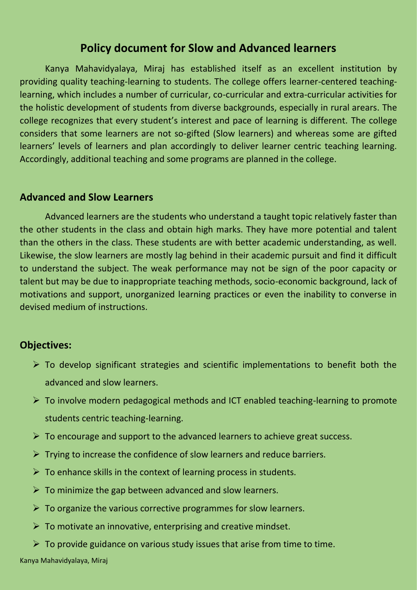### **Policy document for Slow and Advanced learners**

Kanya Mahavidyalaya, Miraj has established itself as an excellent institution by providing quality teaching-learning to students. The college offers learner-centered teachinglearning, which includes a number of curricular, co-curricular and extra-curricular activities for the holistic development of students from diverse backgrounds, especially in rural arears. The college recognizes that every student's interest and pace of learning is different. The college considers that some learners are not so-gifted (Slow learners) and whereas some are gifted learners' levels of learners and plan accordingly to deliver learner centric teaching learning. Accordingly, additional teaching and some programs are planned in the college.

#### **Advanced and Slow Learners**

Advanced learners are the students who understand a taught topic relatively faster than the other students in the class and obtain high marks. They have more potential and talent than the others in the class. These students are with better academic understanding, as well. Likewise, the slow learners are mostly lag behind in their academic pursuit and find it difficult to understand the subject. The weak performance may not be sign of the poor capacity or talent but may be due to inappropriate teaching methods, socio-economic background, lack of motivations and support, unorganized learning practices or even the inability to converse in devised medium of instructions.

#### **Objectives:**

- $\triangleright$  To develop significant strategies and scientific implementations to benefit both the advanced and slow learners.
- $\triangleright$  To involve modern pedagogical methods and ICT enabled teaching-learning to promote students centric teaching-learning.
- $\triangleright$  To encourage and support to the advanced learners to achieve great success.
- $\triangleright$  Trying to increase the confidence of slow learners and reduce barriers.
- $\triangleright$  To enhance skills in the context of learning process in students.
- $\triangleright$  To minimize the gap between advanced and slow learners.
- $\triangleright$  To organize the various corrective programmes for slow learners.
- $\triangleright$  To motivate an innovative, enterprising and creative mindset.
- $\triangleright$  To provide guidance on various study issues that arise from time to time.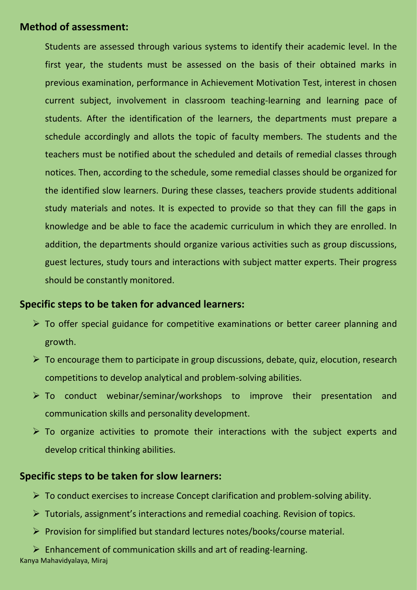#### **Method of assessment:**

Students are assessed through various systems to identify their academic level. In the first year, the students must be assessed on the basis of their obtained marks in previous examination, performance in Achievement Motivation Test, interest in chosen current subject, involvement in classroom teaching-learning and learning pace of students. After the identification of the learners, the departments must prepare a schedule accordingly and allots the topic of faculty members. The students and the teachers must be notified about the scheduled and details of remedial classes through notices. Then, according to the schedule, some remedial classes should be organized for the identified slow learners. During these classes, teachers provide students additional study materials and notes. It is expected to provide so that they can fill the gaps in knowledge and be able to face the academic curriculum in which they are enrolled. In addition, the departments should organize various activities such as group discussions, guest lectures, study tours and interactions with subject matter experts. Their progress should be constantly monitored.

#### **Specific steps to be taken for advanced learners:**

- ➢ To offer special guidance for competitive examinations or better career planning and growth.
- ➢ To encourage them to participate in group discussions, debate, quiz, elocution, research competitions to develop analytical and problem-solving abilities.
- ➢ To conduct webinar/seminar/workshops to improve their presentation and communication skills and personality development.
- $\triangleright$  To organize activities to promote their interactions with the subject experts and develop critical thinking abilities.

#### **Specific steps to be taken for slow learners:**

- $\triangleright$  To conduct exercises to increase Concept clarification and problem-solving ability.
- ➢ Tutorials, assignment's interactions and remedial coaching. Revision of topics.
- ➢ Provision for simplified but standard lectures notes/books/course material.

➢ Enhancement of communication skills and art of reading-learning.

Kanya Mahavidyalaya, Miraj